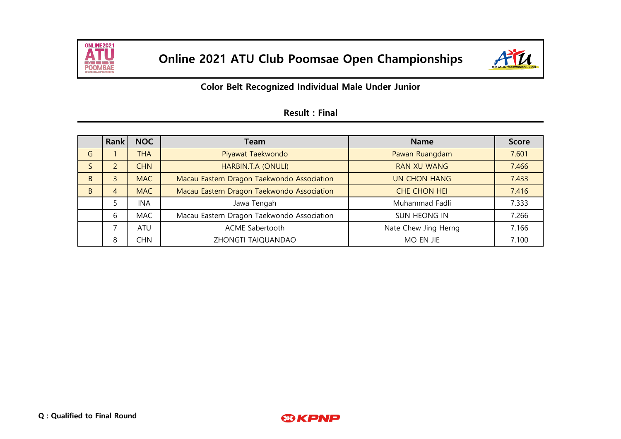



## **Color Belt Recognized Individual Male Under Junior**

|              | Rank                     | <b>NOC</b> | Team                                       | <b>Name</b>          | <b>Score</b> |
|--------------|--------------------------|------------|--------------------------------------------|----------------------|--------------|
| G            |                          | THA        | Piyawat Taekwondo                          | Pawan Ruangdam       | 7.601        |
|              | $\overline{\phantom{a}}$ | <b>CHN</b> | HARBIN.T.A (ONULI)                         | <b>RAN XU WANG</b>   | 7.466        |
| <sub>B</sub> | 3                        | <b>MAC</b> | Macau Eastern Dragon Taekwondo Association | <b>UN CHON HANG</b>  | 7.433        |
| <sub>B</sub> | 4                        | <b>MAC</b> | Macau Eastern Dragon Taekwondo Association | CHE CHON HEI         | 7.416        |
|              |                          | <b>INA</b> | Jawa Tengah                                | Muhammad Fadli       | 7.333        |
|              | 6                        | <b>MAC</b> | Macau Eastern Dragon Taekwondo Association | SUN HEONG IN         | 7.266        |
|              | ⇁                        | ATU        | ACME Sabertooth                            | Nate Chew Jing Herng | 7.166        |
|              | 8                        | CHN        | ZHONGTI TAIQUANDAO                         | MO EN JIE            | 7.100        |

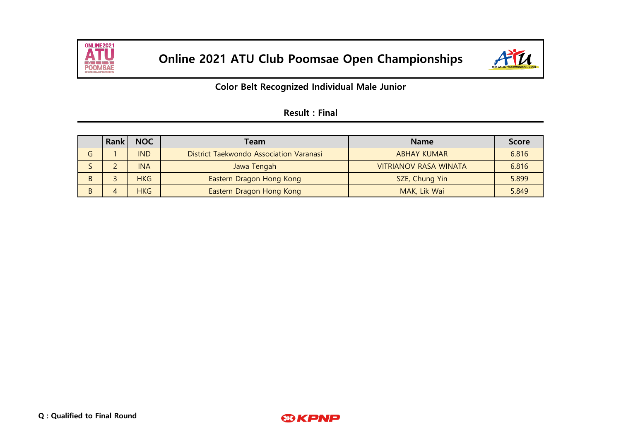



### **Color Belt Recognized Individual Male Junior**

|   | Rank | <b>NOC</b> | Team                                    | <b>Name</b>                  | <b>Score</b> |
|---|------|------------|-----------------------------------------|------------------------------|--------------|
| G |      | <b>IND</b> | District Taekwondo Association Varanasi | <b>ABHAY KUMAR</b>           | 6.816        |
|   |      | <b>INA</b> | Jawa Tengah                             | <b>VITRIANOV RASA WINATA</b> | 6.816        |
| B |      | <b>HKG</b> | Eastern Dragon Hong Kong                | SZE, Chung Yin               | 5.899        |
| B |      | <b>HKG</b> | Eastern Dragon Hong Kong                | MAK, Lik Wai                 | 5.849        |

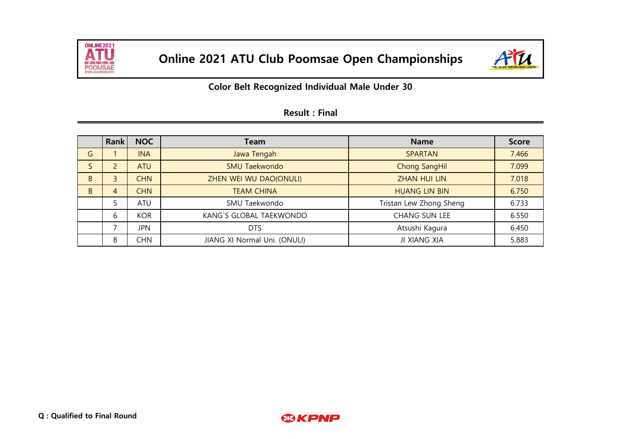



**Color Belt Recognized Individual Male Under 30**

|              | Rank                     | <b>NOC</b> | Team                         | <b>Name</b>             | <b>Score</b> |
|--------------|--------------------------|------------|------------------------------|-------------------------|--------------|
| G            |                          | <b>INA</b> | Jawa Tengah                  | <b>SPARTAN</b>          | 7.466        |
| S            | $\overline{c}$           | <b>ATU</b> | <b>SMU Taekwondo</b>         | <b>Chong SangHil</b>    | 7.099        |
| <sub>B</sub> | 3                        | <b>CHN</b> | ZHEN WEI WU DAO(ONULI)       | <b>ZHAN HUI LIN</b>     | 7.018        |
| <sub>B</sub> | 4                        | <b>CHN</b> | <b>TEAM CHINA</b>            | <b>HUANG LIN BIN</b>    | 6.750        |
|              | 5                        | ATU        | SMU Taekwondo                | Tristan Lew Zhong Sheng | 6.733        |
|              | 6                        | <b>KOR</b> | KANG'S GLOBAL TAEKWONDO      | CHANG SUN LEE           | 6.550        |
|              | $\overline{\phantom{0}}$ | <b>JPN</b> | <b>DTS</b>                   | Atsushi Kagura          | 6.450        |
|              | 8                        | CHN        | JIANG XI Normal Uni. (ONULI) | JI XIANG XIA            | 5.883        |

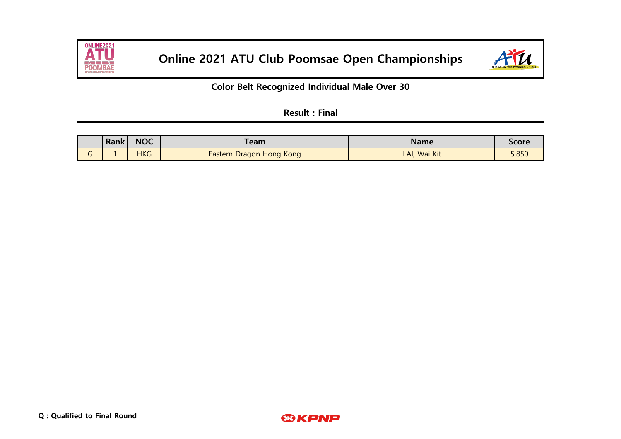



**Color Belt Recognized Individual Male Over 30**

|                                    | Rank | <b>NOC</b> | <b>Team</b>              | Name         | Score |
|------------------------------------|------|------------|--------------------------|--------------|-------|
| $\sim$<br>$\overline{\phantom{0}}$ |      | <b>HKG</b> | Eastern Dragon Hong Kong | LAI, Wai Kit | 5.850 |

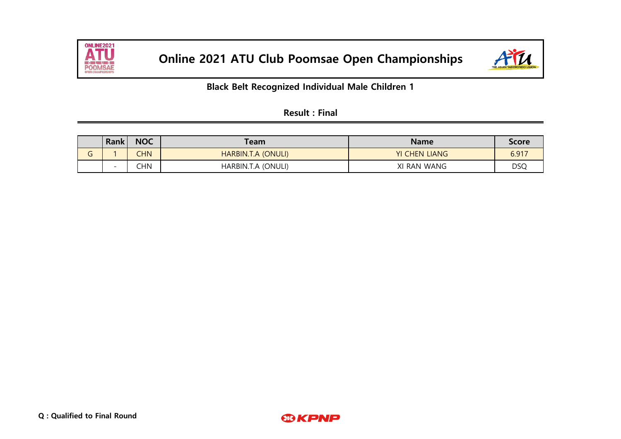



**Black Belt Recognized Individual Male Children 1**

| <b>Result: Final</b> |  |  |
|----------------------|--|--|
|                      |  |  |

|   | <b>Rank</b>              | <b>NOC</b> | Team               | <b>Name</b>          | <b>Score</b> |
|---|--------------------------|------------|--------------------|----------------------|--------------|
| O |                          | <b>CHN</b> | HARBIN.T.A (ONULI) | <b>YI CHEN LIANG</b> | 6.917        |
|   | $\overline{\phantom{0}}$ | <b>CHN</b> | HARBIN.T.A (ONULI) | XI RAN WANG          | DSQ          |

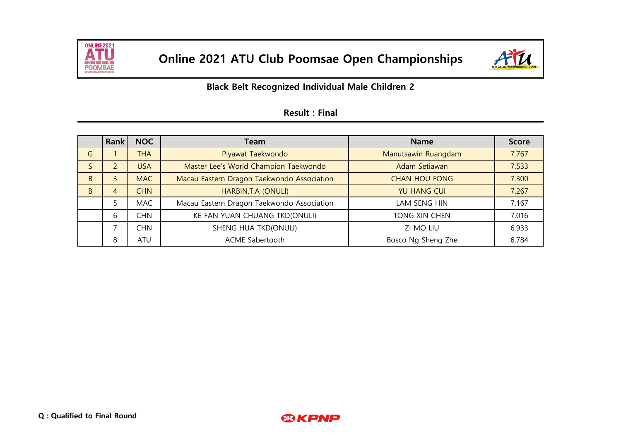



## **Black Belt Recognized Individual Male Children 2**

|              | <b>Rank</b>    | <b>NOC</b> | Team                                       | <b>Name</b>          | <b>Score</b> |
|--------------|----------------|------------|--------------------------------------------|----------------------|--------------|
| G            |                | <b>THA</b> | Piyawat Taekwondo                          | Manutsawin Ruangdam  | 7.767        |
| S            | $\overline{2}$ | <b>USA</b> | Master Lee's World Champion Taekwondo      | Adam Setiawan        | 7.533        |
| <sub>B</sub> | 3              | <b>MAC</b> | Macau Eastern Dragon Taekwondo Association | <b>CHAN HOU FONG</b> | 7.300        |
| <sub>B</sub> | 4              | <b>CHN</b> | HARBIN.T.A (ONULI)                         | <b>YU HANG CUI</b>   | 7.267        |
|              |                | <b>MAC</b> | Macau Eastern Dragon Taekwondo Association | LAM SENG HIN         | 7.167        |
|              | 6              | CHN        | KE FAN YUAN CHUANG TKD(ONULI)              | TONG XIN CHEN        | 7.016        |
|              | ⇁              | CHN        | SHENG HUA TKD(ONULI)                       | ZI MO LIU            | 6.933        |
|              | 8              | ATU        | <b>ACME Sabertooth</b>                     | Bosco Ng Sheng Zhe   | 6.784        |

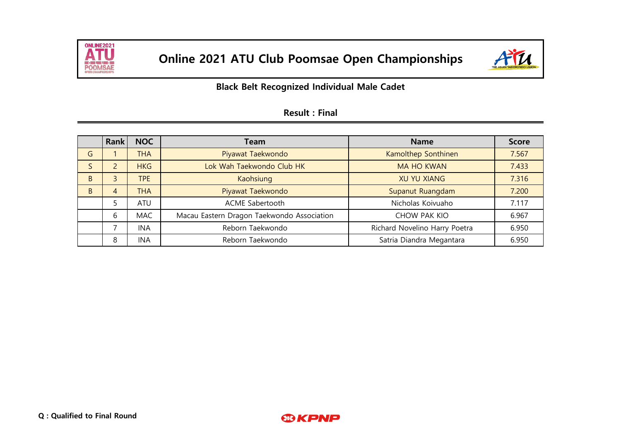



## **Black Belt Recognized Individual Male Cadet**

|    | <b>Rank</b> | <b>NOC</b> | Team                                       | <b>Name</b>                   | <b>Score</b> |
|----|-------------|------------|--------------------------------------------|-------------------------------|--------------|
| G  |             | <b>THA</b> | Piyawat Taekwondo                          | Kamolthep Sonthinen           | 7.567        |
| S  |             | <b>HKG</b> | Lok Wah Taekwondo Club HK                  | <b>MA HO KWAN</b>             | 7.433        |
| B. | 3           | <b>TPE</b> | Kaohsiung                                  | <b>XU YU XIANG</b>            | 7.316        |
| B  | 4           | <b>THA</b> | Piyawat Taekwondo                          | Supanut Ruangdam              | 7.200        |
|    |             | ATU        | ACME Sabertooth                            | Nicholas Koivuaho             | 7.117        |
|    | 6           | <b>MAC</b> | Macau Eastern Dragon Taekwondo Association | CHOW PAK KIO                  | 6.967        |
|    | ⇁           | <b>INA</b> | Reborn Taekwondo                           | Richard Novelino Harry Poetra | 6.950        |
|    | 8           | <b>INA</b> | Reborn Taekwondo                           | Satria Diandra Megantara      | 6.950        |

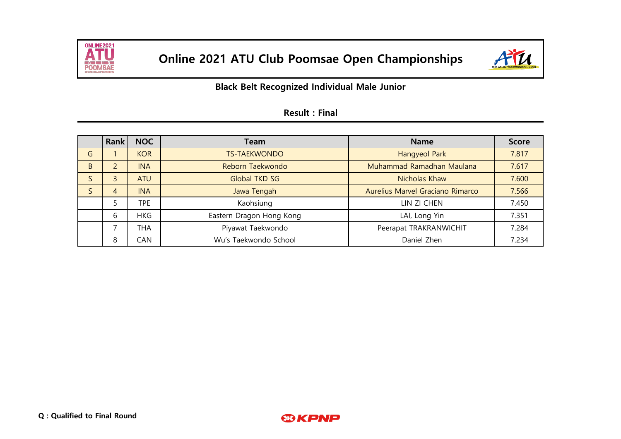



**Black Belt Recognized Individual Male Junior**

|              | <b>Rank</b> | <b>NOC</b> | Team                     | <b>Name</b>                      | <b>Score</b> |
|--------------|-------------|------------|--------------------------|----------------------------------|--------------|
| G            |             | <b>KOR</b> | <b>TS-TAEKWONDO</b>      | Hangyeol Park                    | 7.817        |
| B            |             | <b>INA</b> | Reborn Taekwondo         | Muhammad Ramadhan Maulana        | 7.617        |
| $\mathsf{S}$ | 3           | <b>ATU</b> | <b>Global TKD SG</b>     | Nicholas Khaw                    | 7.600        |
| S            | 4           | <b>INA</b> | Jawa Tengah              | Aurelius Marvel Graciano Rimarco | 7.566        |
|              |             | <b>TPE</b> | Kaohsiung                | LIN ZI CHEN                      | 7.450        |
|              | 6           | <b>HKG</b> | Eastern Dragon Hong Kong | LAI, Long Yin                    | 7.351        |
|              | ⇁           | <b>THA</b> | Piyawat Taekwondo        | Peerapat TRAKRANWICHIT           | 7.284        |
|              | 8           | CAN        | Wu's Taekwondo School    | Daniel Zhen                      | 7.234        |

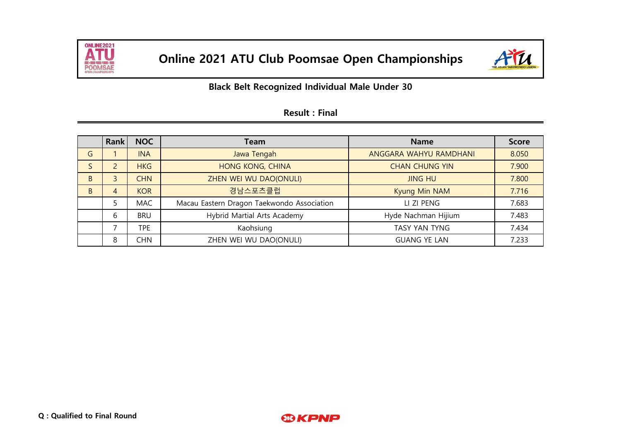



|              | <b>Rank</b> | <b>NOC</b> | Team                                       | <b>Name</b>            | <b>Score</b> |
|--------------|-------------|------------|--------------------------------------------|------------------------|--------------|
| G            |             | <b>INA</b> | Jawa Tengah                                | ANGGARA WAHYU RAMDHANI | 8.050        |
| S            | 2           | <b>HKG</b> | <b>HONG KONG, CHINA</b>                    | <b>CHAN CHUNG YIN</b>  | 7.900        |
| B            | 3           | <b>CHN</b> | ZHEN WEI WU DAO(ONULI)                     | <b>JING HU</b>         | 7.800        |
| <sub>B</sub> | 4           | <b>KOR</b> | 경남스포츠클럽                                    | Kyung Min NAM          | 7.716        |
|              | 5           | <b>MAC</b> | Macau Eastern Dragon Taekwondo Association | LI ZI PENG             | 7.683        |
|              | 6           | <b>BRU</b> | Hybrid Martial Arts Academy                | Hyde Nachman Hijium    | 7.483        |
|              | ⇁           | TPE.       | Kaohsiung                                  | TASY YAN TYNG          | 7.434        |
|              | 8           | CHN        | ZHEN WEI WU DAO(ONULI)                     | <b>GUANG YE LAN</b>    | 7.233        |

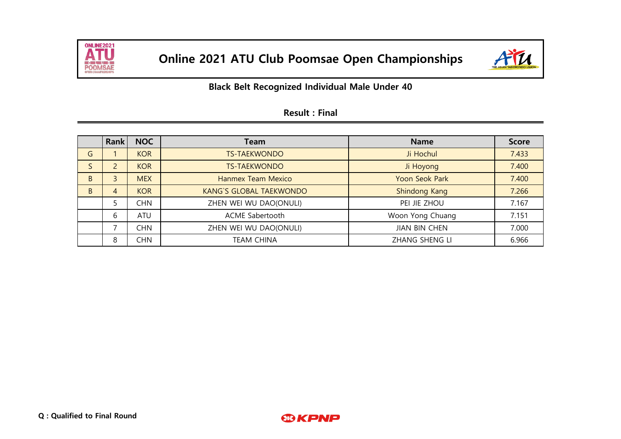



|              | Rank           | <b>NOC</b> | Team                           | <b>Name</b>           | <b>Score</b> |
|--------------|----------------|------------|--------------------------------|-----------------------|--------------|
| G            |                | <b>KOR</b> | <b>TS-TAEKWONDO</b>            | Ji Hochul             | 7.433        |
|              | $\overline{2}$ | <b>KOR</b> | <b>TS-TAEKWONDO</b>            | Ji Hoyong             | 7.400        |
| <sub>B</sub> | $\mathbf{3}$   | <b>MEX</b> | Hanmex Team Mexico             | <b>Yoon Seok Park</b> | 7.400        |
| <sub>B</sub> | 4              | <b>KOR</b> | <b>KANG'S GLOBAL TAEKWONDO</b> | Shindong Kang         | 7.266        |
|              |                | CHN        | ZHEN WEI WU DAO(ONULI)         | PEI JIE ZHOU          | 7.167        |
|              | 6              | <b>ATU</b> | ACME Sabertooth                | Woon Yong Chuang      | 7.151        |
|              | ⇁              | CHN        | ZHEN WEI WU DAO(ONULI)         | <b>JIAN BIN CHEN</b>  | 7.000        |
|              | 8              | CHN        | <b>TEAM CHINA</b>              | <b>ZHANG SHENG LI</b> | 6.966        |

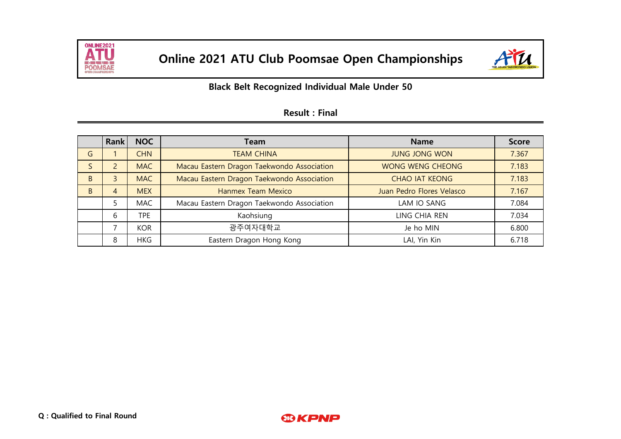



|              | <b>Rank</b> | <b>NOC</b> | Team                                       | <b>Name</b>               | <b>Score</b> |
|--------------|-------------|------------|--------------------------------------------|---------------------------|--------------|
| G            |             | <b>CHN</b> | <b>TEAM CHINA</b>                          | <b>JUNG JONG WON</b>      | 7.367        |
| S            |             | <b>MAC</b> | Macau Eastern Dragon Taekwondo Association | <b>WONG WENG CHEONG</b>   | 7.183        |
| <sub>B</sub> | 3           | <b>MAC</b> | Macau Eastern Dragon Taekwondo Association | <b>CHAO IAT KEONG</b>     | 7.183        |
| <sub>B</sub> | 4           | <b>MEX</b> | <b>Hanmex Team Mexico</b>                  | Juan Pedro Flores Velasco | 7.167        |
|              |             | <b>MAC</b> | Macau Eastern Dragon Taekwondo Association | LAM IO SANG               | 7.084        |
|              | 6           | TPE        | Kaohsiung                                  | LING CHIA REN             | 7.034        |
|              | ⇁           | <b>KOR</b> | 광주여자대학교                                    | Je ho MIN                 | 6.800        |
|              | 8           | <b>HKG</b> | Eastern Dragon Hong Kong                   | LAI, Yin Kin              | 6.718        |

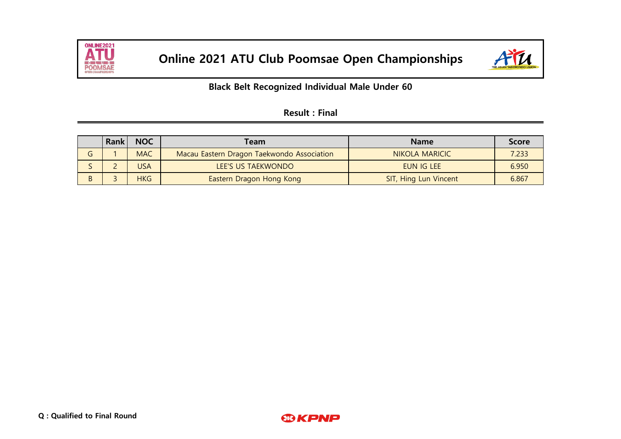



## **Black Belt Recognized Individual Male Under 60**

| <b>Result: Final</b> |  |  |
|----------------------|--|--|
|                      |  |  |

|   | <b>Rank</b> | <b>NOC</b> | Team                                       | <b>Name</b>                  | <b>Score</b> |
|---|-------------|------------|--------------------------------------------|------------------------------|--------------|
|   |             | <b>MAC</b> | Macau Eastern Dragon Taekwondo Association | NIKOLA MARICIC               | 7.233        |
|   |             | <b>USA</b> | LEE'S US TAEKWONDO                         | EUN IG LEE                   | 6.950        |
| B |             | <b>HKG</b> | Eastern Dragon Hong Kong                   | <b>SIT, Hing Lun Vincent</b> | 6.867        |

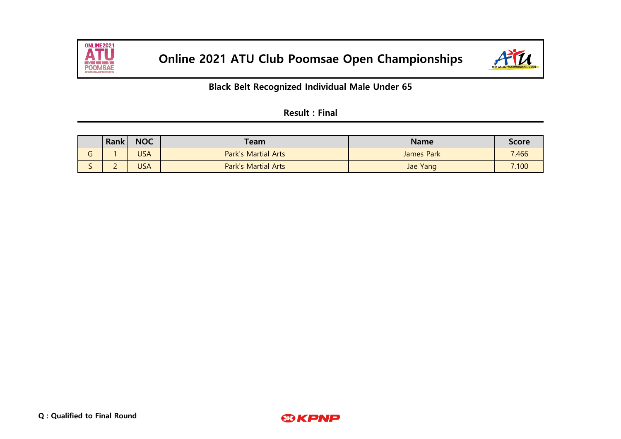



## **Black Belt Recognized Individual Male Under 65**

| <b>Result: Final</b> |  |  |
|----------------------|--|--|
|                      |  |  |

|                               | <b>Rank</b> | <b>NOC</b> | $\tau$ eam $\epsilon$      | <b>Name</b>       | <b>Score</b> |
|-------------------------------|-------------|------------|----------------------------|-------------------|--------------|
| $\overline{\phantom{0}}$<br>u |             | USA        | <b>Park's Martial Arts</b> | <b>James Park</b> | 7.466        |
| ∽<br>ັ                        | <u>_</u>    | USA        | <b>Park's Martial Arts</b> | Jae Yang          | 7.100        |

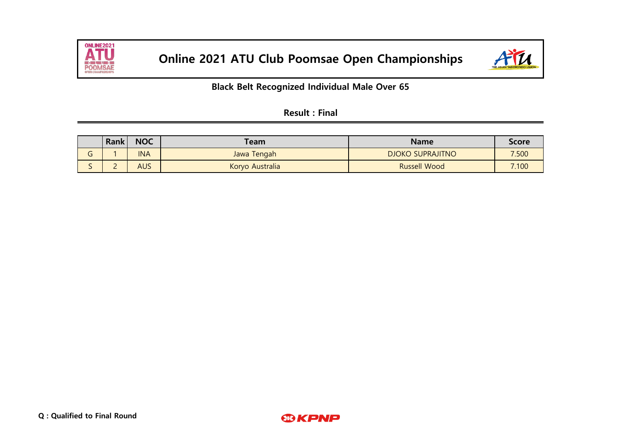



## **Black Belt Recognized Individual Male Over 65**

| <b>Result: Final</b> |  |  |
|----------------------|--|--|
|----------------------|--|--|

|        | <b>Rank</b> | <b>NOC</b> | ™eam            | <b>Name</b>             | <b>Score</b> |
|--------|-------------|------------|-----------------|-------------------------|--------------|
| ∽<br>u |             | <b>INA</b> | Jawa Tengah     | <b>DJOKO SUPRAJITNO</b> | 7.500        |
| ັ      | -           | <b>AUS</b> | Koryo Australia | <b>Russell Wood</b>     | 7.100        |

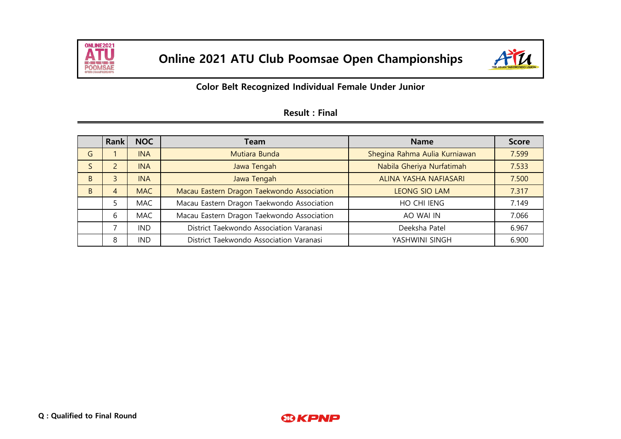



## **Color Belt Recognized Individual Female Under Junior**

|              | <b>Rank</b> | <b>NOC</b> | Team                                       | <b>Name</b>                   | <b>Score</b> |
|--------------|-------------|------------|--------------------------------------------|-------------------------------|--------------|
| G            |             | <b>INA</b> | Mutiara Bunda                              | Shegina Rahma Aulia Kurniawan | 7.599        |
| S            |             | <b>INA</b> | Jawa Tengah                                | Nabila Gheriya Nurfatimah     | 7.533        |
| <sub>B</sub> | 3           | <b>INA</b> | Jawa Tengah                                | ALINA YASHA NAFIASARI         | 7.500        |
| <sub>B</sub> | 4           | <b>MAC</b> | Macau Eastern Dragon Taekwondo Association | <b>LEONG SIO LAM</b>          | 7.317        |
|              |             | <b>MAC</b> | Macau Eastern Dragon Taekwondo Association | HO CHI IENG                   | 7.149        |
|              | 6           | <b>MAC</b> | Macau Eastern Dragon Taekwondo Association | AO WAI IN                     | 7.066        |
|              | ⇁           | <b>IND</b> | District Taekwondo Association Varanasi    | Deeksha Patel                 | 6.967        |
|              | 8           | <b>IND</b> | District Taekwondo Association Varanasi    | YASHWINI SINGH                | 6.900        |

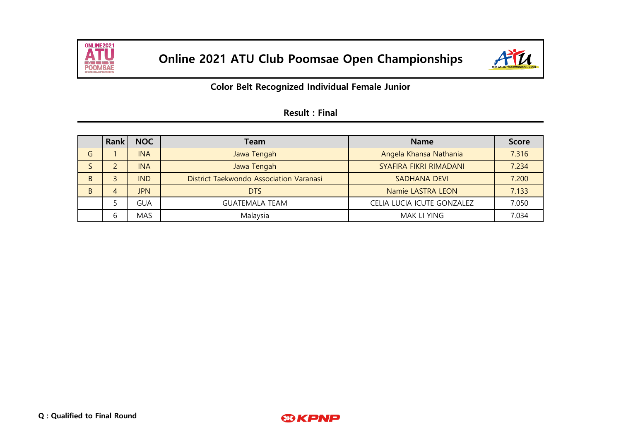



**Color Belt Recognized Individual Female Junior**

|   | Rank | <b>NOC</b> | <b>Team</b>                             | <b>Name</b>                | <b>Score</b> |
|---|------|------------|-----------------------------------------|----------------------------|--------------|
| G |      | <b>INA</b> | Jawa Tengah                             | Angela Khansa Nathania     | 7.316        |
|   |      | <b>INA</b> | Jawa Tengah                             | SYAFIRA FIKRI RIMADANI     | 7.234        |
| B |      | <b>IND</b> | District Taekwondo Association Varanasi | <b>SADHANA DEVI</b>        | 7.200        |
| B | 4    | <b>JPN</b> | <b>DTS</b>                              | Namie LASTRA LEON          | 7.133        |
|   |      | <b>GUA</b> | <b>GUATEMALA TEAM</b>                   | CELIA LUCIA ICUTE GONZALEZ | 7.050        |
|   | b    | <b>MAS</b> | Malaysia                                | <b>MAK LI YING</b>         | 7.034        |

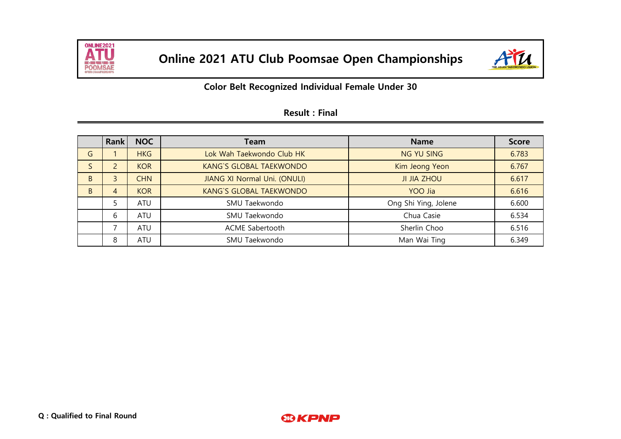



|   | <b>Rank</b> | <b>NOC</b> | Team                           | <b>Name</b>          | <b>Score</b> |
|---|-------------|------------|--------------------------------|----------------------|--------------|
| G |             | <b>HKG</b> | Lok Wah Taekwondo Club HK      | <b>NG YU SING</b>    | 6.783        |
|   | 2           | <b>KOR</b> | <b>KANG'S GLOBAL TAEKWONDO</b> | Kim Jeong Yeon       | 6.767        |
| B | 3           | <b>CHN</b> | JIANG XI Normal Uni. (ONULI)   | <b>JI JIA ZHOU</b>   | 6.617        |
| B | 4           | <b>KOR</b> | <b>KANG'S GLOBAL TAEKWONDO</b> | YOO Jia              | 6.616        |
|   | 5           | <b>ATU</b> | SMU Taekwondo                  | Ong Shi Ying, Jolene | 6.600        |
|   | 6           | <b>ATU</b> | SMU Taekwondo                  | Chua Casie           | 6.534        |
|   | ⇁           | <b>ATU</b> | ACME Sabertooth                | Sherlin Choo         | 6.516        |
|   | 8           | ATU        | SMU Taekwondo                  | Man Wai Ting         | 6.349        |

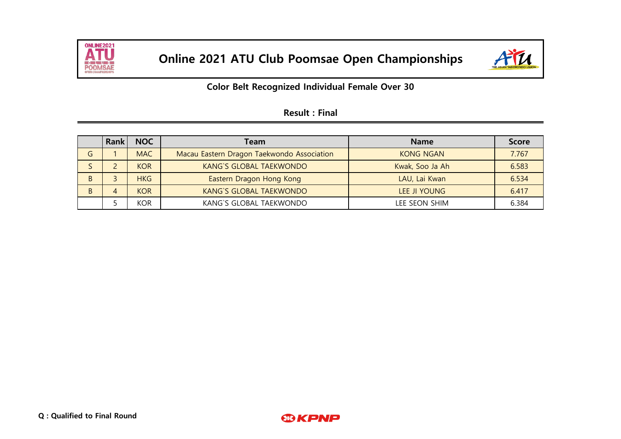



## **Color Belt Recognized Individual Female Over 30**

|   | Rank | <b>NOC</b> | Team                                       | <b>Name</b>      | <b>Score</b> |
|---|------|------------|--------------------------------------------|------------------|--------------|
| G |      | <b>MAC</b> | Macau Eastern Dragon Taekwondo Association | <b>KONG NGAN</b> | 7.767        |
|   |      | <b>KOR</b> | <b>KANG'S GLOBAL TAEKWONDO</b>             | Kwak, Soo Ja Ah  | 6.583        |
| B |      | <b>HKG</b> | Eastern Dragon Hong Kong                   | LAU, Lai Kwan    | 6.534        |
| B |      | <b>KOR</b> | <b>KANG'S GLOBAL TAEKWONDO</b>             | LEE JI YOUNG     | 6.417        |
|   |      | <b>KOR</b> | KANG'S GLOBAL TAEKWONDO                    | LEE SEON SHIM    | 6.384        |

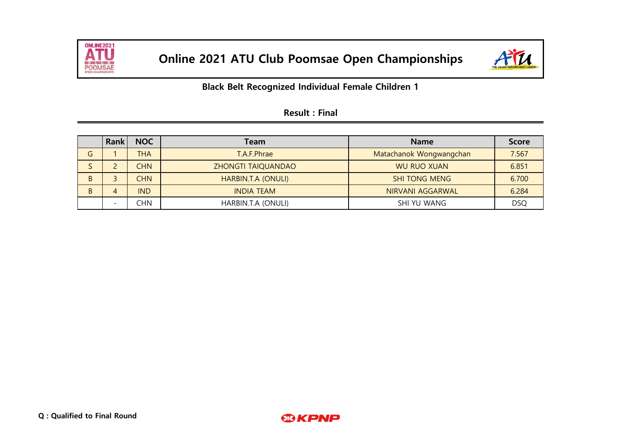



|   | Rank                     | <b>NOC</b> | Team               | <b>Name</b>             | <b>Score</b> |
|---|--------------------------|------------|--------------------|-------------------------|--------------|
| G |                          | <b>THA</b> | T.A.F.Phrae        | Matachanok Wongwangchan | 7.567        |
|   |                          | <b>CHN</b> | ZHONGTI TAIQUANDAO | <b>WU RUO XUAN</b>      | 6.851        |
| B |                          | <b>CHN</b> | HARBIN.T.A (ONULI) | <b>SHI TONG MENG</b>    | 6.700        |
| B | 4                        | <b>IND</b> | <b>INDIA TEAM</b>  | NIRVANI AGGARWAL        | 6.284        |
|   | $\overline{\phantom{0}}$ | CHN        | HARBIN.T.A (ONULI) | SHI YU WANG             | <b>DSQ</b>   |

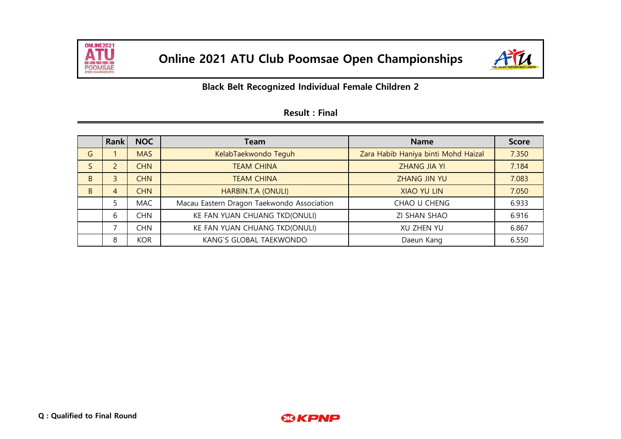



|              | <b>Rank</b>    | <b>NOC</b> | Team                                       | <b>Name</b>                         | <b>Score</b> |
|--------------|----------------|------------|--------------------------------------------|-------------------------------------|--------------|
| G            |                | <b>MAS</b> | KelabTaekwondo Teguh                       | Zara Habib Haniya binti Mohd Haizal | 7.350        |
| S            | $\overline{2}$ | <b>CHN</b> | <b>TEAM CHINA</b>                          | <b>ZHANG JIA YI</b>                 | 7.184        |
| <sub>B</sub> | 3              | <b>CHN</b> | <b>TEAM CHINA</b>                          | ZHANG JIN YU                        | 7.083        |
| <sub>B</sub> | 4              | <b>CHN</b> | HARBIN.T.A (ONULI)                         | <b>XIAO YU LIN</b>                  | 7.050        |
|              |                | <b>MAC</b> | Macau Eastern Dragon Taekwondo Association | CHAO U CHENG                        | 6.933        |
|              | 6              | CHN        | KE FAN YUAN CHUANG TKD(ONULI)              | ZI SHAN SHAO                        | 6.916        |
|              | ⇁              | CHN        | KE FAN YUAN CHUANG TKD(ONULI)              | XU ZHEN YU                          | 6.867        |
|              | 8              | <b>KOR</b> | KANG'S GLOBAL TAEKWONDO                    | Daeun Kang                          | 6.550        |

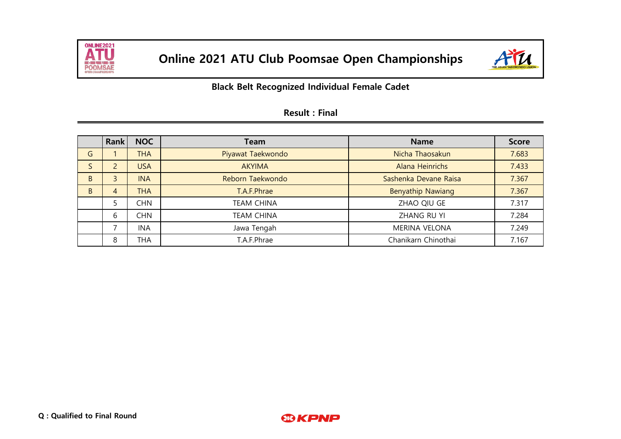



|   | <b>Rank</b>              | <b>NOC</b> | Team              | <b>Name</b>           | <b>Score</b> |
|---|--------------------------|------------|-------------------|-----------------------|--------------|
| G |                          | THA        | Piyawat Taekwondo | Nicha Thaosakun       | 7.683        |
|   | $\overline{2}$           | <b>USA</b> | <b>AKYIMA</b>     | Alana Heinrichs       | 7.433        |
| B | 3                        | <b>INA</b> | Reborn Taekwondo  | Sashenka Devane Raisa | 7.367        |
| B | 4                        | THA        | T.A.F.Phrae       | Benyathip Nawiang     | 7.367        |
|   | 5                        | <b>CHN</b> | <b>TEAM CHINA</b> | ZHAO QIU GE           | 7.317        |
|   | 6                        | <b>CHN</b> | <b>TEAM CHINA</b> | ZHANG RU YI           | 7.284        |
|   | $\overline{\phantom{0}}$ | <b>INA</b> | Jawa Tengah       | <b>MERINA VELONA</b>  | 7.249        |
|   | 8                        | THA        | T.A.F.Phrae       | Chanikarn Chinothai   | 7.167        |

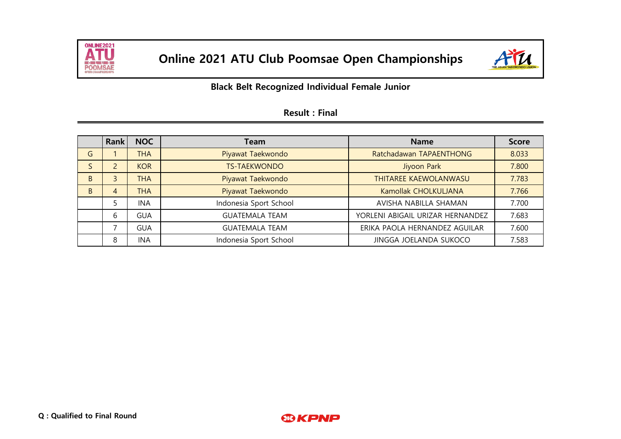



|   | Rank | <b>NOC</b> | <b>Team</b>            | <b>Name</b>                      | <b>Score</b> |
|---|------|------------|------------------------|----------------------------------|--------------|
| G |      | <b>THA</b> | Piyawat Taekwondo      | Ratchadawan TAPAENTHONG          | 8.033        |
| S | 2    | <b>KOR</b> | <b>TS-TAEKWONDO</b>    | Jiyoon Park                      | 7.800        |
| B | 3    | <b>THA</b> | Piyawat Taekwondo      | THITAREE KAEWOLANWASU            | 7.783        |
| B | 4    | <b>THA</b> | Piyawat Taekwondo      | Kamollak CHOLKULJANA             | 7.766        |
|   |      | <b>INA</b> | Indonesia Sport School | AVISHA NABILLA SHAMAN            | 7.700        |
|   | 6    | <b>GUA</b> | <b>GUATEMALA TEAM</b>  | YORLENI ABIGAIL URIZAR HERNANDEZ | 7.683        |
|   | ⇁    | <b>GUA</b> | <b>GUATEMALA TEAM</b>  | ERIKA PAOLA HERNANDEZ AGUILAR    | 7.600        |
|   | 8    | <b>INA</b> | Indonesia Sport School | JINGGA JOELANDA SUKOCO           | 7.583        |

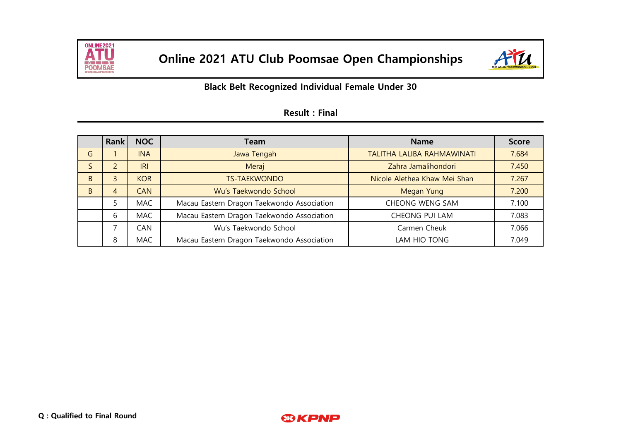



|              | <b>Rank</b>  | <b>NOC</b> | Team                                       | <b>Name</b>                  | <b>Score</b> |
|--------------|--------------|------------|--------------------------------------------|------------------------------|--------------|
| G            |              | <b>INA</b> | Jawa Tengah                                | TALITHA LALIBA RAHMAWINATI   | 7.684        |
|              | 2            | <b>IRI</b> | Meraj                                      | Zahra Jamalihondori          | 7.450        |
| <sub>B</sub> | $\mathbf{3}$ | <b>KOR</b> | <b>TS-TAEKWONDO</b>                        | Nicole Alethea Khaw Mei Shan | 7.267        |
| <sub>B</sub> | 4            | <b>CAN</b> | Wu's Taekwondo School                      | <b>Megan Yung</b>            | 7.200        |
|              | 5            | <b>MAC</b> | Macau Eastern Dragon Taekwondo Association | CHEONG WENG SAM              | 7.100        |
|              | 6            | <b>MAC</b> | Macau Eastern Dragon Taekwondo Association | CHEONG PUI LAM               | 7.083        |
|              | ⇁            | CAN        | Wu's Taekwondo School                      | Carmen Cheuk                 | 7.066        |
|              | 8            | <b>MAC</b> | Macau Eastern Dragon Taekwondo Association | LAM HIO TONG                 | 7.049        |

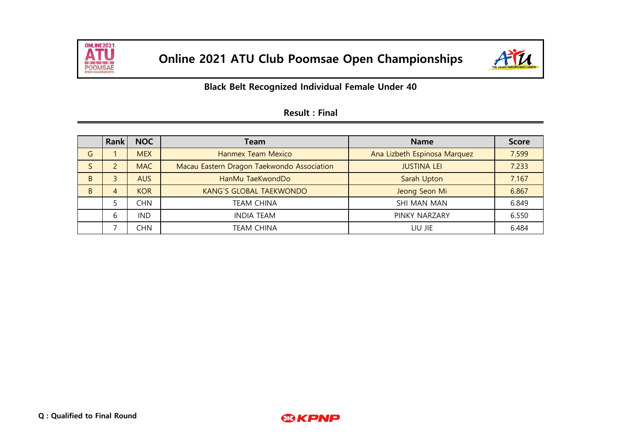



|              | <b>Rank</b> | <b>NOC</b> | Team                                       | <b>Name</b>                  | <b>Score</b> |
|--------------|-------------|------------|--------------------------------------------|------------------------------|--------------|
| G            |             | <b>MEX</b> | Hanmex Team Mexico                         | Ana Lizbeth Espinosa Marquez | 7.599        |
| S            | C.          | <b>MAC</b> | Macau Eastern Dragon Taekwondo Association | <b>JUSTINA LEI</b>           | 7.233        |
| <sub>B</sub> | 3           | <b>AUS</b> | HanMu TaeKwondDo                           | Sarah Upton                  | 7.167        |
| <sub>B</sub> | 4           | <b>KOR</b> | <b>KANG'S GLOBAL TAEKWONDO</b>             | Jeong Seon Mi                | 6.867        |
|              |             | CHN        | <b>TEAM CHINA</b>                          | SHI MAN MAN                  | 6.849        |
|              | b           | <b>IND</b> | <b>INDIA TEAM</b>                          | PINKY NARZARY                | 6.550        |
|              |             | CHN        | <b>TEAM CHINA</b>                          | LIU JIE                      | 6.484        |

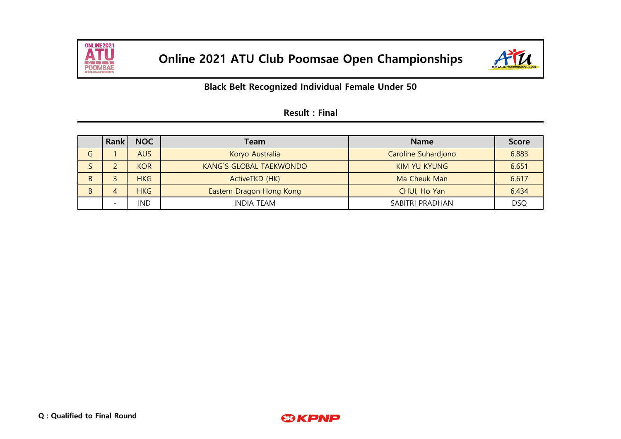



|   | Rank                         | <b>NOC</b> | Team                           | <b>Name</b>         | <b>Score</b> |
|---|------------------------------|------------|--------------------------------|---------------------|--------------|
| G |                              | <b>AUS</b> | Koryo Australia                | Caroline Suhardjono | 6.883        |
|   |                              | <b>KOR</b> | <b>KANG'S GLOBAL TAEKWONDO</b> | <b>KIM YU KYUNG</b> | 6.651        |
| B |                              | <b>HKG</b> | ActiveTKD (HK)                 | Ma Cheuk Man        | 6.617        |
| B | $\overline{4}$               | <b>HKG</b> | Eastern Dragon Hong Kong       | CHUI, Ho Yan        | 6.434        |
|   | $\qquad \qquad \blacksquare$ | <b>IND</b> | <b>INDIA TEAM</b>              | SABITRI PRADHAN     | <b>DSQ</b>   |

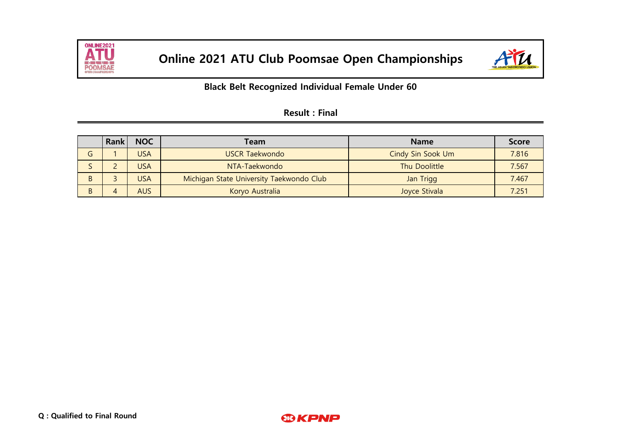



|   | Rank | <b>NOC</b> | Team                                     | <b>Name</b>       | <b>Score</b> |
|---|------|------------|------------------------------------------|-------------------|--------------|
| G |      | <b>USA</b> | <b>USCR Taekwondo</b>                    | Cindy Sin Sook Um | 7.816        |
|   |      | <b>USA</b> | NTA-Taekwondo                            | Thu Doolittle     | 7.567        |
| B |      | <b>USA</b> | Michigan State University Taekwondo Club | Jan Trigg         | 7.467        |
| B | 4    | <b>AUS</b> | Koryo Australia                          | Joyce Stivala     | 7.251        |

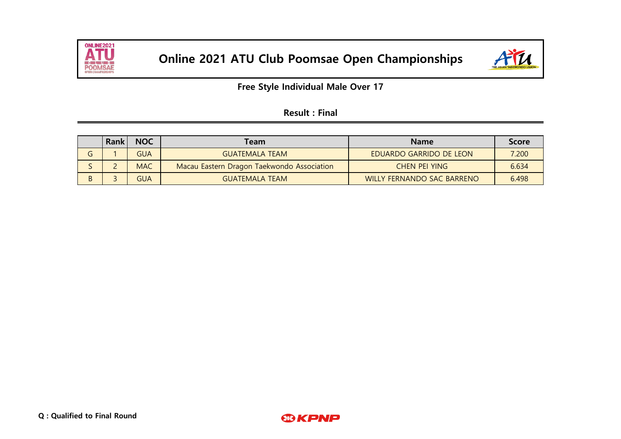



**Free Style Individual Male Over 17**

| <b>Result: Final</b> |  |
|----------------------|--|
|----------------------|--|

|   | <b>Rank</b> | <b>NOC</b> | Team                                       | <b>Name</b>                       | <b>Score</b> |
|---|-------------|------------|--------------------------------------------|-----------------------------------|--------------|
|   |             | <b>GUA</b> | <b>GUATEMALA TEAM</b>                      | <b>EDUARDO GARRIDO DE LEON</b>    | 7.200        |
|   |             | <b>MAC</b> | Macau Eastern Dragon Taekwondo Association | CHEN PEI YING                     | 6.634        |
| B |             | GUA        | <b>GUATEMALA TEAM</b>                      | <b>WILLY FERNANDO SAC BARRENO</b> | 6.498        |

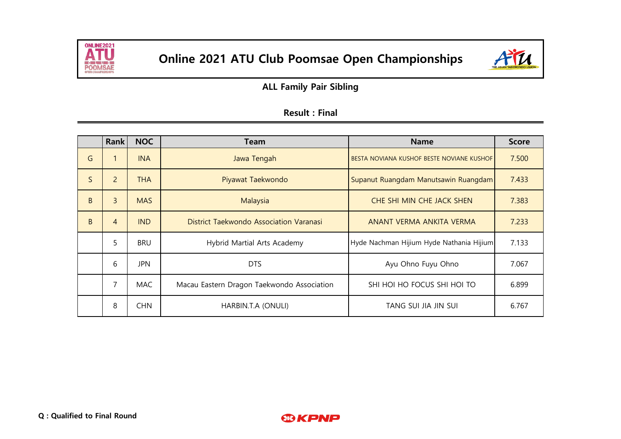



**ALL Family Pair Sibling**

|              | <b>Rank</b>    | <b>NOC</b> | Team                                       | <b>Name</b>                               | <b>Score</b> |
|--------------|----------------|------------|--------------------------------------------|-------------------------------------------|--------------|
| G            | 1              | <b>INA</b> | Jawa Tengah                                | BESTA NOVIANA KUSHOF BESTE NOVIANE KUSHOF | 7.500        |
| $\mathsf{S}$ | $\overline{2}$ | <b>THA</b> | Piyawat Taekwondo                          | Supanut Ruangdam Manutsawin Ruangdam      | 7.433        |
| B            | $\overline{3}$ | <b>MAS</b> | Malaysia                                   | CHE SHI MIN CHE JACK SHEN                 | 7.383        |
| B            | $\overline{4}$ | <b>IND</b> | District Taekwondo Association Varanasi    | ANANT VERMA ANKITA VERMA                  | 7.233        |
|              | 5              | <b>BRU</b> | Hybrid Martial Arts Academy                | Hyde Nachman Hijium Hyde Nathania Hijium  | 7.133        |
|              | 6              | <b>JPN</b> | <b>DTS</b>                                 | Ayu Ohno Fuyu Ohno                        | 7.067        |
|              | 7              | <b>MAC</b> | Macau Eastern Dragon Taekwondo Association | SHI HOI HO FOCUS SHI HOI TO               | 6.899        |
|              | 8              | <b>CHN</b> | HARBIN.T.A (ONULI)                         | TANG SUI JIA JIN SUI                      | 6.767        |

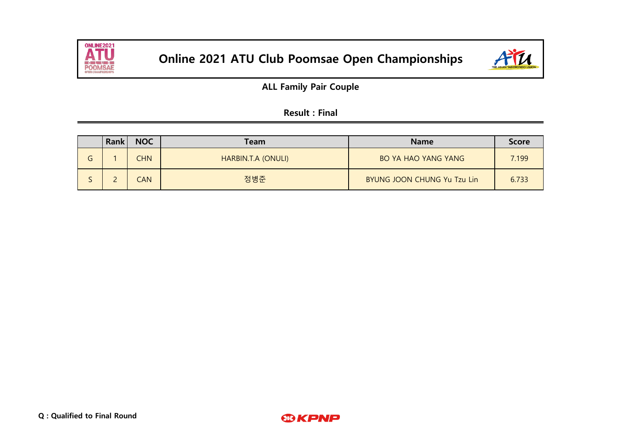



**ALL Family Pair Couple**

| <b>Result: Final</b> |  |  |
|----------------------|--|--|
|----------------------|--|--|

|   | Rank | <b>NOC</b> | <b>Team</b>        | <b>Name</b>                 | <b>Score</b> |
|---|------|------------|--------------------|-----------------------------|--------------|
| G |      | <b>CHN</b> | HARBIN.T.A (ONULI) | <b>BO YA HAO YANG YANG</b>  | 7.199        |
|   |      | CAN        | 정병준                | BYUNG JOON CHUNG Yu Tzu Lin | 6.733        |

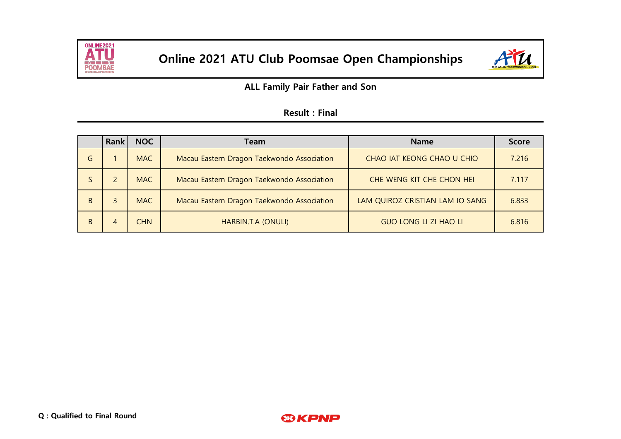



**ALL Family Pair Father and Son**

|              | Rank                                                     | <b>NOC</b> | Team                                       | <b>Name</b>                     | <b>Score</b> |
|--------------|----------------------------------------------------------|------------|--------------------------------------------|---------------------------------|--------------|
| G            |                                                          | <b>MAC</b> | Macau Eastern Dragon Taekwondo Association | CHAO IAT KEONG CHAO U CHIO      | 7.216        |
|              | <b>MAC</b><br>Macau Eastern Dragon Taekwondo Association |            |                                            | CHE WENG KIT CHE CHON HEI       | 7.117        |
| <sub>B</sub> | <b>MAC</b><br>Macau Eastern Dragon Taekwondo Association |            |                                            | LAM QUIROZ CRISTIAN LAM IO SANG | 6.833        |
| <sub>B</sub> | 4                                                        | CHN.       | HARBIN.T.A (ONULI)                         | <b>GUO LONG LI ZI HAO LI</b>    | 6.816        |

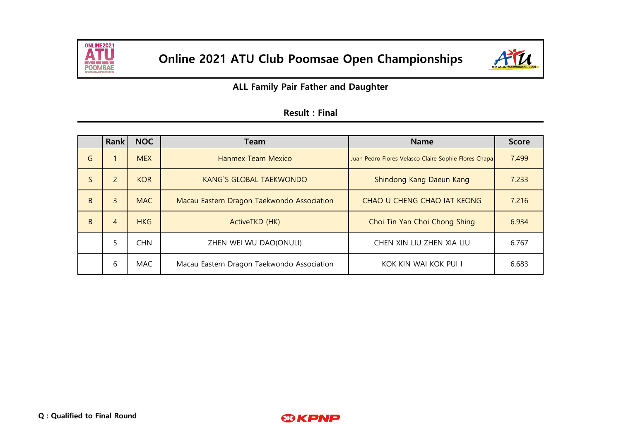



**ALL Family Pair Father and Daughter**

|   | <b>Rank</b>                                                    | <b>NOC</b> | Team                                       | <b>Name</b>                                          | <b>Score</b> |
|---|----------------------------------------------------------------|------------|--------------------------------------------|------------------------------------------------------|--------------|
| G |                                                                | <b>MEX</b> | Hanmex Team Mexico                         | Juan Pedro Flores Velasco Claire Sophie Flores Chapa | 7.499        |
| S | $\overline{2}$<br><b>KOR</b><br><b>KANG'S GLOBAL TAEKWONDO</b> |            |                                            | Shindong Kang Daeun Kang                             | 7.233        |
| B | 3                                                              | <b>MAC</b> | Macau Eastern Dragon Taekwondo Association | CHAO U CHENG CHAO IAT KEONG                          | 7.216        |
| B | 4                                                              | <b>HKG</b> | ActiveTKD (HK)                             | Choi Tin Yan Choi Chong Shing                        | 6.934        |
|   | 5                                                              | <b>CHN</b> | ZHEN WEI WU DAO(ONULI)                     | CHEN XIN LIU ZHEN XIA LIU                            | 6.767        |
|   | 6                                                              | <b>MAC</b> | Macau Eastern Dragon Taekwondo Association | KOK KIN WAI KOK PUI I                                | 6.683        |

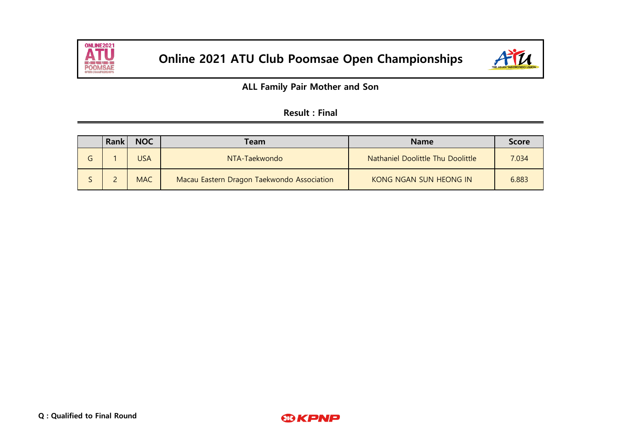



**ALL Family Pair Mother and Son**

|   | Rank | <b>NOC</b> | <b>Team</b>                                | <b>Name</b>                       | <b>Score</b> |
|---|------|------------|--------------------------------------------|-----------------------------------|--------------|
| G |      | <b>USA</b> | NTA-Taekwondo                              | Nathaniel Doolittle Thu Doolittle | 7.034        |
|   |      | <b>MAC</b> | Macau Eastern Dragon Taekwondo Association | KONG NGAN SUN HEONG IN            | 6.883        |

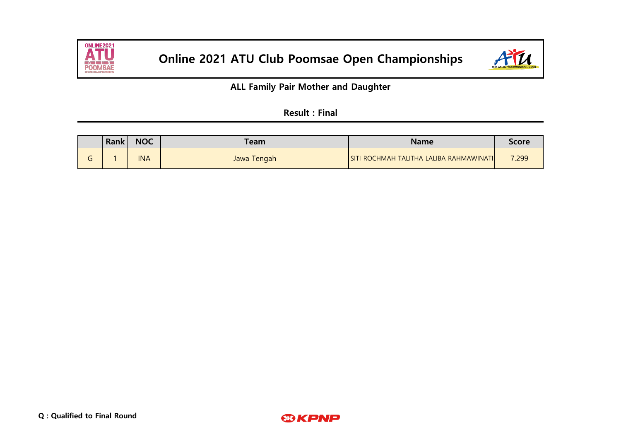



**ALL Family Pair Mother and Daughter**

| <b>Result: Final</b> |  |  |
|----------------------|--|--|
|                      |  |  |

|        | Rank | <b>NOC</b> | <b>Team</b> | Name                                    | Score |
|--------|------|------------|-------------|-----------------------------------------|-------|
| ⌒<br>u |      | <b>INA</b> | Jawa Tengah | SITI ROCHMAH TALITHA LALIBA RAHMAWINATI | 7.299 |